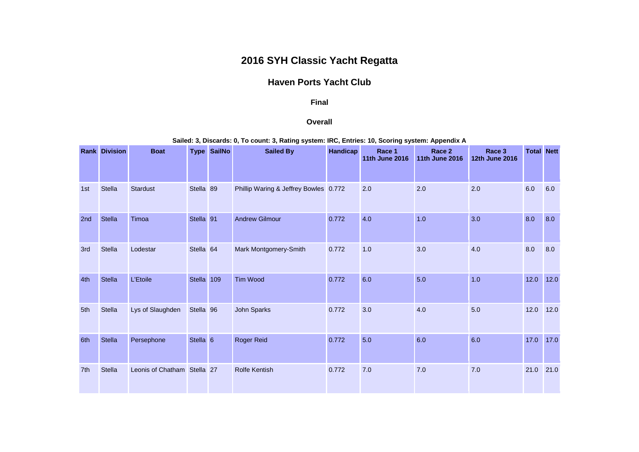## **2016 SYH Classic Yacht Regatta**

## **Haven Ports Yacht Club**

## **Final**

## **Overall**

**Sailed: 3, Discards: 0, To count: 3, Rating system: IRC, Entries: 10, Scoring system: Appendix A**

|     | <b>Rank Division</b> | <b>Boat</b>                 | <b>Type</b>          | <b>SailNo</b> | <b>Sailed By</b>                      | <b>Handicap</b> | Race 1<br><b>11th June 2016</b> | Race 2<br><b>11th June 2016</b> | Race <sub>3</sub><br><b>12th June 2016</b> | <b>Total Nett</b> |        |
|-----|----------------------|-----------------------------|----------------------|---------------|---------------------------------------|-----------------|---------------------------------|---------------------------------|--------------------------------------------|-------------------|--------|
| 1st | <b>Stella</b>        | <b>Stardust</b>             | Stella 89            |               | Phillip Waring & Jeffrey Bowles 0.772 |                 | 2.0                             | 2.0                             | 2.0                                        | 6.0               | 6.0    |
| 2nd | <b>Stella</b>        | Timoa                       | Stella 91            |               | <b>Andrew Gilmour</b>                 | 0.772           | 4.0                             | 1.0                             | 3.0                                        | 8.0               | 8.0    |
| 3rd | Stella               | Lodestar                    | Stella <sub>64</sub> |               | Mark Montgomery-Smith                 | 0.772           | 1.0                             | 3.0                             | 4.0                                        | 8.0               | 8.0    |
| 4th | <b>Stella</b>        | L'Etoile                    | <b>Stella</b>        | 109           | Tim Wood                              | 0.772           | 6.0                             | 5.0                             | 1.0                                        | 12.0              | $12.0$ |
| 5th | <b>Stella</b>        | Lys of Slaughden            | Stella <sub>96</sub> |               | John Sparks                           | 0.772           | 3.0                             | 4.0                             | 5.0                                        | 12.0              | 12.0   |
| 6th | Stella               | Persephone                  | Stella <sub>6</sub>  |               | <b>Roger Reid</b>                     | 0.772           | 5.0                             | 6.0                             | 6.0                                        | 17.0              | 17.0   |
| 7th | <b>Stella</b>        | Leonis of Chatham Stella 27 |                      |               | <b>Rolfe Kentish</b>                  | 0.772           | 7.0                             | 7.0                             | 7.0                                        | 21.0              | 21.0   |